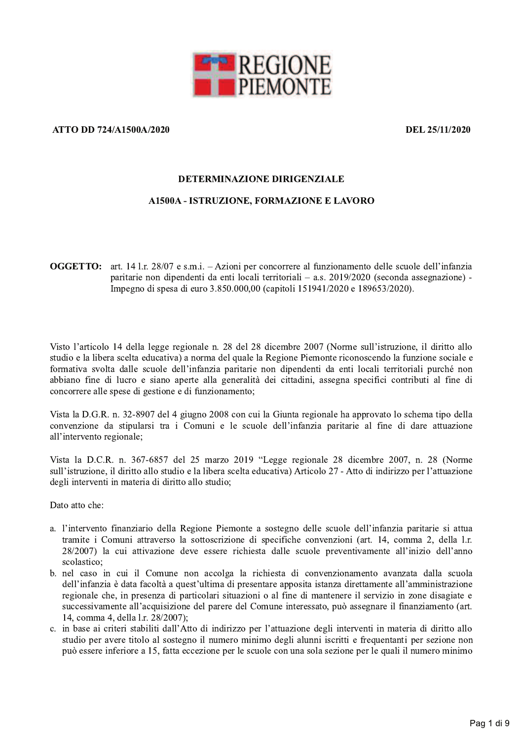

## ATTO DD 724/A1500A/2020

DEL 25/11/2020

#### **DETERMINAZIONE DIRIGENZIALE**

### **A1500A - ISTRUZIONE, FORMAZIONE E LAVORO**

**OGGETTO:** art. 14 l.r. 28/07 e s.m.i. – Azioni per concorrere al funzionamento delle scuole dell'infanzia paritarie non dipendenti da enti locali territoriali – a.s.  $2019/2020$  (seconda assegnazione) -Impegno di spesa di euro 3.850.000,00 (capitoli 151941/2020 e 189653/2020).

Visto l'articolo 14 della legge regionale n. 28 del 28 dicembre 2007 (Norme sull'istruzione, il diritto allo studio e la libera scelta educativa) a norma del quale la Regione Piemonte riconoscendo la funzione sociale e formativa svolta dalle scuole dell'infanzia paritarie non dipendenti da enti locali territoriali purché non abbiano fine di lucro e siano aperte alla generalità dei cittadini, assegna specifici contributi al fine di concorrere alle spese di gestione e di funzionamento;

Vista la D.G.R. n. 32-8907 del 4 giugno 2008 con cui la Giunta regionale ha approvato lo schema tipo della convenzione da stipularsi tra i Comuni e le scuole dell'infanzia paritarie al fine di dare attuazione all'intervento regionale;

Vista la D.C.R. n. 367-6857 del 25 marzo 2019 "Legge regionale 28 dicembre 2007, n. 28 (Norme sull'istruzione, il diritto allo studio e la libera scelta educativa) Articolo 27 - Atto di indirizzo per l'attuazione degli interventi in materia di diritto allo studio;

Dato atto che:

- a. l'intervento finanziario della Regione Piemonte a sostegno delle scuole dell'infanzia paritarie si attua tramite i Comuni attraverso la sottoscrizione di specifiche convenzioni (art. 14, comma 2, della l.r. 28/2007) la cui attivazione deve essere richiesta dalle scuole preventivamente all'inizio dell'anno scolastico:
- b. nel caso in cui il Comune non accolga la richiesta di convenzionamento avanzata dalla scuola dell'infanzia è data facoltà a quest'ultima di presentare apposita istanza direttamente all'amministrazione regionale che, in presenza di particolari situazioni o al fine di mantenere il servizio in zone disagiate e successivamente all'acquisizione del parere del Comune interessato, può assegnare il finanziamento (art. 14, comma 4, della 1.r. 28/2007);
- c. in base ai criteri stabiliti dall'Atto di indirizzo per l'attuazione degli interventi in materia di diritto allo studio per avere titolo al sostegno il numero minimo degli alunni iscritti e frequentanti per sezione non può essere inferiore a 15, fatta eccezione per le scuole con una sola sezione per le quali il numero minimo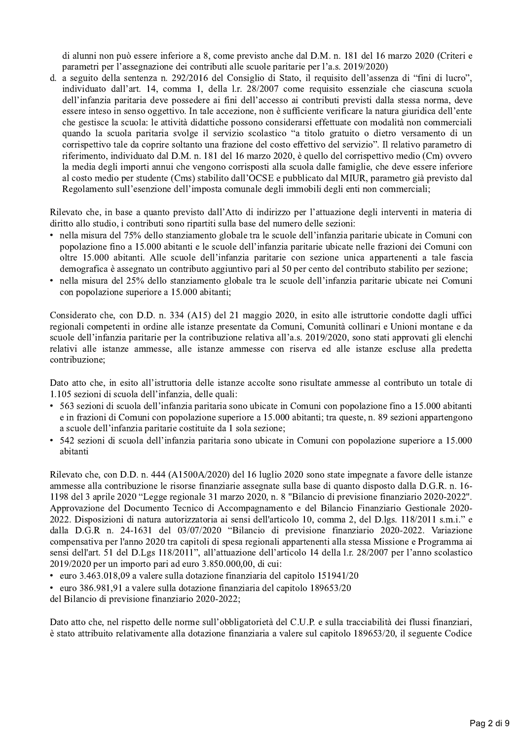di alunni non può essere inferiore a 8, come previsto anche dal D.M. n. 181 del 16 marzo 2020 (Criteri e parametri per l'assegnazione dei contributi alle scuole paritarie per l'a.s. 2019/2020)

d. a seguito della sentenza n. 292/2016 del Consiglio di Stato, il requisito dell'assenza di "fini di lucro", individuato dall'art. 14, comma 1, della l.r. 28/2007 come requisito essenziale che ciascuna scuola dell'infanzia paritaria deve possedere ai fini dell'accesso ai contributi previsti dalla stessa norma, deve essere inteso in senso oggettivo. In tale accezione, non è sufficiente verificare la natura giuridica dell'ente che gestisce la scuola: le attività didattiche possono considerarsi effettuate con modalità non commerciali quando la scuola paritaria svolge il servizio scolastico "a titolo gratuito o dietro versamento di un corrispettivo tale da coprire soltanto una frazione del costo effettivo del servizio". Il relativo parametro di riferimento, individuato dal D.M. n. 181 del 16 marzo 2020, è quello del corrispettivo medio (Cm) ovvero la media degli importi annui che vengono corrisposti alla scuola dalle famiglie, che deve essere inferiore al costo medio per studente (Cms) stabilito dall'OCSE e pubblicato dal MIUR, parametro già previsto dal Regolamento sull'esenzione dell'imposta comunale degli immobili degli enti non commerciali;

Rilevato che, in base a quanto previsto dall'Atto di indirizzo per l'attuazione degli interventi in materia di diritto allo studio, i contributi sono ripartiti sulla base del numero delle sezioni:

- nella misura del 75% dello stanziamento globale tra le scuole dell'infanzia paritarie ubicate in Comuni con popolazione fino a 15.000 abitanti e le scuole dell'infanzia paritarie ubicate nelle frazioni dei Comuni con oltre 15.000 abitanti. Alle scuole dell'infanzia paritarie con sezione unica appartenenti a tale fascia demografica è assegnato un contributo aggiuntivo pari al 50 per cento del contributo stabilito per sezione;
- · nella misura del 25% dello stanziamento globale tra le scuole dell'infanzia paritarie ubicate nei Comuni con popolazione superiore a 15.000 abitanti;

Considerato che, con D.D. n. 334 (A15) del 21 maggio 2020, in esito alle istruttorie condotte dagli uffici regionali competenti in ordine alle istanze presentate da Comuni, Comunità collinari e Unioni montane e da scuole dell'infanzia paritarie per la contribuzione relativa all'a.s. 2019/2020, sono stati approvati gli elenchi relativi alle istanze ammesse, alle istanze ammesse con riserva ed alle istanze escluse alla predetta contribuzione;

Dato atto che, in esito all'istruttoria delle istanze accolte sono risultate ammesse al contributo un totale di 1.105 sezioni di scuola dell'infanzia, delle quali:

- 563 sezioni di scuola dell'infanzia paritaria sono ubicate in Comuni con popolazione fino a 15.000 abitanti e in frazioni di Comuni con popolazione superiore a 15.000 abitanti; tra queste, n. 89 sezioni appartengono a scuole dell'infanzia paritarie costituite da 1 sola sezione;
- 542 sezioni di scuola dell'infanzia paritaria sono ubicate in Comuni con popolazione superiore a 15.000 abitanti

Rilevato che, con D.D. n. 444 (A1500A/2020) del 16 luglio 2020 sono state impegnate a favore delle istanze ammesse alla contribuzione le risorse finanziarie assegnate sulla base di quanto disposto dalla D.G.R. n. 16-1198 del 3 aprile 2020 "Legge regionale 31 marzo 2020, n. 8 "Bilancio di previsione finanziario 2020-2022". Approvazione del Documento Tecnico di Accompagnamento e del Bilancio Finanziario Gestionale 2020-2022. Disposizioni di natura autorizzatoria ai sensi dell'articolo 10, comma 2, del D.lgs. 118/2011 s.m.i." e dalla D.G.R n. 24-1631 del 03/07/2020 "Bilancio di previsione finanziario 2020-2022. Variazione compensativa per l'anno 2020 tra capitoli di spesa regionali appartenenti alla stessa Missione e Programma ai sensi dell'art. 51 del D.Lgs 118/2011", all'attuazione dell'articolo 14 della l.r. 28/2007 per l'anno scolastico 2019/2020 per un importo pari ad euro 3.850.000,00, di cui:

- euro 3.463.018,09 a valere sulla dotazione finanziaria del capitolo 151941/20
- euro 386.981,91 a valere sulla dotazione finanziaria del capitolo 189653/20

del Bilancio di previsione finanziario 2020-2022;

Dato atto che, nel rispetto delle norme sull'obbligatorietà del C.U.P. e sulla tracciabilità dei flussi finanziari, è stato attribuito relativamente alla dotazione finanziaria a valere sul capitolo 189653/20, il seguente Codice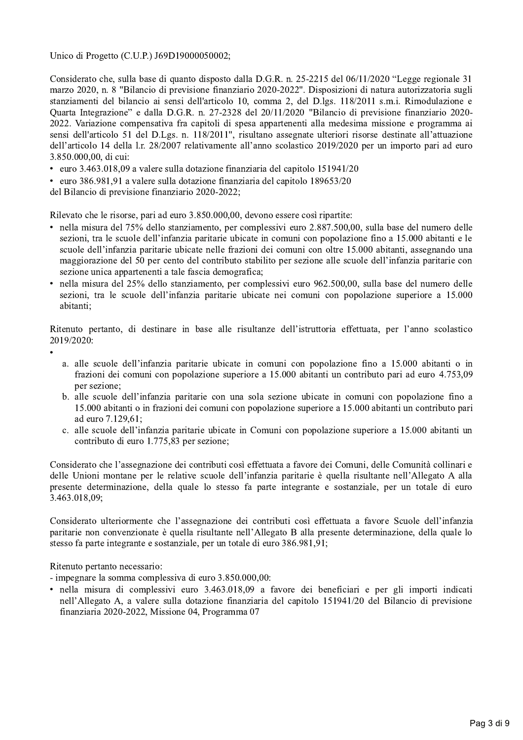Unico di Progetto (C.U.P.) J69D19000050002;

Considerato che, sulla base di quanto disposto dalla D.G.R. n. 25-2215 del 06/11/2020 "Legge regionale 31 marzo 2020, n. 8 "Bilancio di previsione finanziario 2020-2022". Disposizioni di natura autorizzatoria sugli stanziamenti del bilancio ai sensi dell'articolo 10, comma 2, del D.lgs. 118/2011 s.m.i. Rimodulazione e Quarta Integrazione" e dalla D.G.R. n. 27-2328 del 20/11/2020 "Bilancio di previsione finanziario 2020-2022. Variazione compensativa fra capitoli di spesa appartenenti alla medesima missione e programma ai sensi dell'articolo 51 del D.Lgs. n. 118/2011", risultano assegnate ulteriori risorse destinate all'attuazione dell'articolo 14 della l.r. 28/2007 relativamente all'anno scolastico 2019/2020 per un importo pari ad euro 3.850.000,00, di cui:

- · euro 3.463.018,09 a valere sulla dotazione finanziaria del capitolo 151941/20
- · euro 386.981,91 a valere sulla dotazione finanziaria del capitolo 189653/20

del Bilancio di previsione finanziario 2020-2022;

Rilevato che le risorse, pari ad euro 3.850.000,00, devono essere così ripartite:

- nella misura del 75% dello stanziamento, per complessivi euro 2.887.500,00, sulla base del numero delle sezioni, tra le scuole dell'infanzia paritarie ubicate in comuni con popolazione fino a 15.000 abitanti e le scuole dell'infanzia paritarie ubicate nelle frazioni dei comuni con oltre 15.000 abitanti, assegnando una maggiorazione del 50 per cento del contributo stabilito per sezione alle scuole dell'infanzia paritarie con sezione unica appartenenti a tale fascia demografica;
- nella misura del 25% dello stanziamento, per complessivi euro 962.500,00, sulla base del numero delle sezioni, tra le scuole dell'infanzia paritarie ubicate nei comuni con popolazione superiore a 15.000 abitanti:

Ritenuto pertanto, di destinare in base alle risultanze dell'istruttoria effettuata, per l'anno scolastico 2019/2020:

- 
- a. alle scuole dell'infanzia paritarie ubicate in comuni con popolazione fino a 15.000 abitanti o in frazioni dei comuni con popolazione superiore a 15.000 abitanti un contributo pari ad euro 4.753,09 per sezione:
- b. alle scuole dell'infanzia paritarie con una sola sezione ubicate in comuni con popolazione fino a 15.000 abitanti o in frazioni dei comuni con popolazione superiore a 15.000 abitanti un contributo pari ad euro 7.129.61:
- c. alle scuole dell'infanzia paritarie ubicate in Comuni con popolazione superiore a 15.000 abitanti un contributo di euro 1.775,83 per sezione:

Considerato che l'assegnazione dei contributi così effettuata a favore dei Comuni, delle Comunità collinari e delle Unioni montane per le relative scuole dell'infanzia paritarie è quella risultante nell'Allegato A alla presente determinazione, della quale lo stesso fa parte integrante e sostanziale, per un totale di euro 3.463.018.09:

Considerato ulteriormente che l'assegnazione dei contributi così effettuata a favore Scuole dell'infanzia paritarie non convenzionate è quella risultante nell'Allegato B alla presente determinazione, della quale lo stesso fa parte integrante e sostanziale, per un totale di euro 386.981,91;

Ritenuto pertanto necessario:

- impegnare la somma complessiva di euro 3.850.000,00:
- nella misura di complessivi euro 3.463.018,09 a favore dei beneficiari e per gli importi indicati nell'Allegato A, a valere sulla dotazione finanziaria del capitolo 151941/20 del Bilancio di previsione finanziaria 2020-2022, Missione 04, Programma 07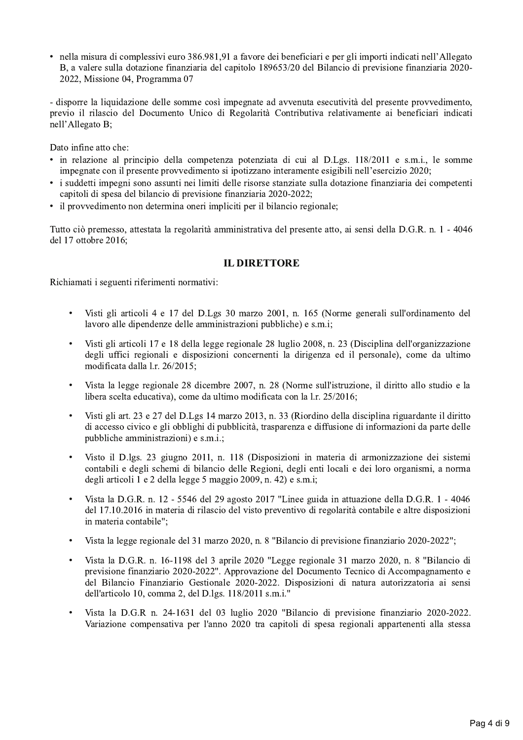· nella misura di complessivi euro 386.981.91 a favore dei beneficiari e per gli importi indicati nell'Allegato B, a valere sulla dotazione finanziaria del capitolo 189653/20 del Bilancio di previsione finanziaria 2020-2022, Missione 04, Programma 07

- disporre la liquidazione delle somme così impegnate ad avvenuta esecutività del presente provvedimento, previo il rilascio del Documento Unico di Regolarità Contributiva relativamente ai beneficiari indicati nell'Allegato B;

Dato infine atto che:

- · in relazione al principio della competenza potenziata di cui al D.Lgs. 118/2011 e s.m.i., le somme impegnate con il presente provvedimento si ipotizzano interamente esigibili nell'esercizio 2020;
- i suddetti impegni sono assunti nei limiti delle risorse stanziate sulla dotazione finanziaria dei competenti capitoli di spesa del bilancio di previsione finanziaria 2020-2022;
- il provvedimento non determina oneri impliciti per il bilancio regionale;

Tutto ciò premesso, attestata la regolarità amministrativa del presente atto, ai sensi della D.G.R. n. 1 - 4046 del 17 ottobre 2016;

# **IL DIRETTORE**

Richiamati i seguenti riferimenti normativi:

- Visti gli articoli 4 e 17 del D.Lgs 30 marzo 2001, n. 165 (Norme generali sull'ordinamento del lavoro alle dipendenze delle amministrazioni pubbliche) e s.m.i;
- Visti gli articoli 17 e 18 della legge regionale 28 luglio 2008, n. 23 (Disciplina dell'organizzazione degli uffici regionali e disposizioni concernenti la dirigenza ed il personale), come da ultimo modificata dalla 1.r. 26/2015;
- Vista la legge regionale 28 dicembre 2007, n. 28 (Norme sull'istruzione, il diritto allo studio e la libera scelta educativa), come da ultimo modificata con la l.r. 25/2016;
- Visti gli art. 23 e 27 del D.Lgs 14 marzo 2013, n. 33 (Riordino della disciplina riguardante il diritto di accesso civico e gli obblighi di pubblicità, trasparenza e diffusione di informazioni da parte delle pubbliche amministrazioni) e s.m.i.;
- Visto il D.lgs. 23 giugno 2011, n. 118 (Disposizioni in materia di armonizzazione dei sistemi contabili e degli schemi di bilancio delle Regioni, degli enti locali e dei loro organismi, a norma degli articoli 1 e 2 della legge 5 maggio 2009, n. 42) e s.m.i;
- Vista la D.G.R. n. 12 5546 del 29 agosto 2017 "Linee guida in attuazione della D.G.R. 1 4046 del 17.10.2016 in materia di rilascio del visto preventivo di regolarità contabile e altre disposizioni in materia contabile";
- Vista la legge regionale del 31 marzo 2020, n. 8 "Bilancio di previsione finanziario 2020-2022";
- Vista la D.G.R. n. 16-1198 del 3 aprile 2020 "Legge regionale 31 marzo 2020, n. 8 "Bilancio di previsione finanziario 2020-2022". Approvazione del Documento Tecnico di Accompagnamento e del Bilancio Finanziario Gestionale 2020-2022. Disposizioni di natura autorizzatoria ai sensi dell'articolo 10, comma 2, del D.lgs. 118/2011 s.m.i."
- Vista la D.G.R n. 24-1631 del 03 luglio 2020 "Bilancio di previsione finanziario 2020-2022. Variazione compensativa per l'anno 2020 tra capitoli di spesa regionali appartenenti alla stessa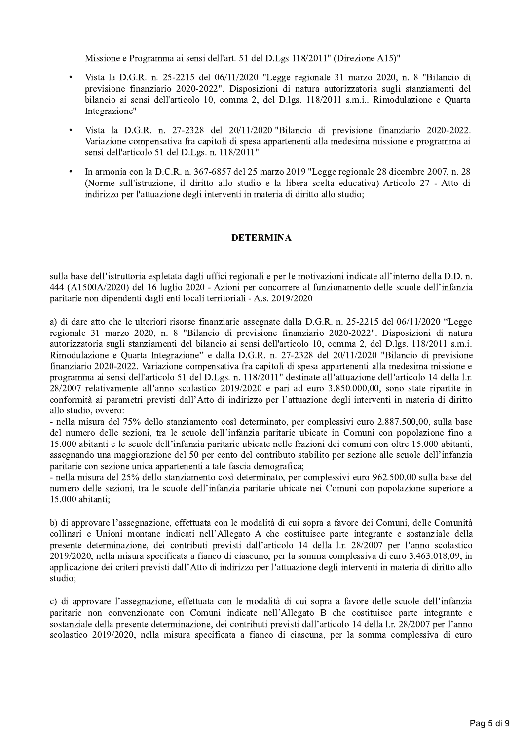Missione e Programma ai sensi dell'art. 51 del D.Lgs 118/2011" (Direzione A15)"

- Vista la D.G.R. n. 25-2215 del 06/11/2020 "Legge regionale 31 marzo 2020, n. 8 "Bilancio di previsione finanziario 2020-2022". Disposizioni di natura autorizzatoria sugli stanziamenti del bilancio ai sensi dell'articolo 10, comma 2, del D.lgs. 118/2011 s.m.i.. Rimodulazione e Quarta Integrazione"
- Vista la D.G.R. n. 27-2328 del 20/11/2020 "Bilancio di previsione finanziario 2020-2022. Variazione compensativa fra capitoli di spesa appartenenti alla medesima missione e programma ai sensi dell'articolo 51 del D.Lgs. n. 118/2011"
- In armonia con la D.C.R. n. 367-6857 del 25 marzo 2019 "Legge regionale 28 dicembre 2007, n. 28 (Norme sull'istruzione, il diritto allo studio e la libera scelta educativa) Articolo 27 - Atto di indirizzo per l'attuazione degli interventi in materia di diritto allo studio;

#### **DETERMINA**

sulla base dell'istruttoria espletata dagli uffici regionali e per le motivazioni indicate all'interno della D.D. n. 444 (A1500A/2020) del 16 luglio 2020 - Azioni per concorrere al funzionamento delle scuole dell'infanzia paritarie non dipendenti dagli enti locali territoriali - A.s. 2019/2020

a) di dare atto che le ulteriori risorse finanziarie assegnate dalla D.G.R. n. 25-2215 del 06/11/2020 "Legge regionale 31 marzo 2020, n. 8 "Bilancio di previsione finanziario 2020-2022". Disposizioni di natura autorizzatoria sugli stanziamenti del bilancio ai sensi dell'articolo 10, comma 2, del D.lgs. 118/2011 s.m.i. Rimodulazione e Quarta Integrazione" e dalla D.G.R. n. 27-2328 del 20/11/2020 "Bilancio di previsione finanziario 2020-2022. Variazione compensativa fra capitoli di spesa appartenenti alla medesima missione e programma ai sensi dell'articolo 51 del D.Lgs. n. 118/2011" destinate all'attuazione dell'articolo 14 della l.r. 28/2007 relativamente all'anno scolastico 2019/2020 e pari ad euro 3.850.000,00, sono state ripartite in conformità ai parametri previsti dall'Atto di indirizzo per l'attuazione degli interventi in materia di diritto allo studio, ovvero:

- nella misura del 75% dello stanziamento così determinato, per complessivi euro 2.887.500,00, sulla base del numero delle sezioni, tra le scuole dell'infanzia paritarie ubicate in Comuni con popolazione fino a 15.000 abitanti e le scuole dell'infanzia paritarie ubicate nelle frazioni dei comuni con oltre 15.000 abitanti, assegnando una maggiorazione del 50 per cento del contributo stabilito per sezione alle scuole dell'infanzia paritarie con sezione unica appartenenti a tale fascia demografica;

- nella misura del 25% dello stanziamento così determinato, per complessivi euro 962.500,00 sulla base del numero delle sezioni, tra le scuole dell'infanzia paritarie ubicate nei Comuni con popolazione superiore a 15.000 abitanti:

b) di approvare l'assegnazione, effettuata con le modalità di cui sopra a favore dei Comuni, delle Comunità collinari e Unioni montane indicati nell'Allegato A che costituisce parte integrante e sostanziale della presente determinazione, dei contributi previsti dall'articolo 14 della l.r. 28/2007 per l'anno scolastico 2019/2020, nella misura specificata a fianco di ciascuno, per la somma complessiva di euro 3.463.018.09, in applicazione dei criteri previsti dall'Atto di indirizzo per l'attuazione degli interventi in materia di diritto allo studio:

c) di approvare l'assegnazione, effettuata con le modalità di cui sopra a favore delle scuole dell'infanzia paritarie non convenzionate con Comuni indicate nell'Allegato B che costituisce parte integrante e sostanziale della presente determinazione, dei contributi previsti dall'articolo 14 della l.r. 28/2007 per l'anno scolastico 2019/2020, nella misura specificata a fianco di ciascuna, per la somma complessiva di euro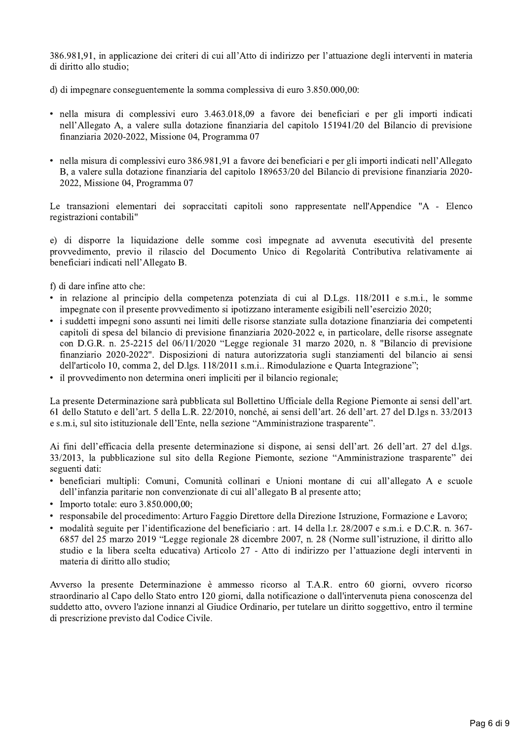386.981,91, in applicazione dei criteri di cui all'Atto di indirizzo per l'attuazione degli interventi in materia di diritto allo studio:

d) di impegnare conseguentemente la somma complessiva di euro 3.850.000,00:

- · nella misura di complessivi euro 3.463.018,09 a favore dei beneficiari e per gli importi indicati nell'Allegato A, a valere sulla dotazione finanziaria del capitolo 151941/20 del Bilancio di previsione finanziaria 2020-2022, Missione 04, Programma 07
- nella misura di complessivi euro 386.981.91 a favore dei beneficiari e per gli importi indicati nell'Allegato B, a valere sulla dotazione finanziaria del capitolo 189653/20 del Bilancio di previsione finanziaria 2020-2022, Missione 04, Programma 07

Le transazioni elementari dei sopraccitati capitoli sono rappresentate nell'Appendice "A - Elenco registrazioni contabili"

e) di disporre la liquidazione delle somme così impegnate ad avvenuta esecutività del presente provvedimento, previo il rilascio del Documento Unico di Regolarità Contributiva relativamente ai beneficiari indicati nell'Allegato B.

f) di dare infine atto che:

- · in relazione al principio della competenza potenziata di cui al D.Lgs. 118/2011 e s.m.i., le somme impegnate con il presente provvedimento si ipotizzano interamente esigibili nell'esercizio 2020;
- i suddetti impegni sono assunti nei limiti delle risorse stanziate sulla dotazione finanziaria dei competenti capitoli di spesa del bilancio di previsione finanziaria 2020-2022 e, in particolare, delle risorse assegnate con D.G.R. n. 25-2215 del 06/11/2020 "Legge regionale 31 marzo 2020, n. 8 "Bilancio di previsione finanziario 2020-2022". Disposizioni di natura autorizzatoria sugli stanziamenti del bilancio ai sensi dell'articolo 10, comma 2, del D.lgs. 118/2011 s.m.i.. Rimodulazione e Quarta Integrazione";
- il provvedimento non determina oneri impliciti per il bilancio regionale;

La presente Determinazione sarà pubblicata sul Bollettino Ufficiale della Regione Piemonte ai sensi dell'art. 61 dello Statuto e dell'art. 5 della L.R. 22/2010, nonché, ai sensi dell'art. 26 dell'art. 27 del D.lgs n. 33/2013 e s.m.i, sul sito istituzionale dell'Ente, nella sezione "Amministrazione trasparente".

Ai fini dell'efficacia della presente determinazione si dispone, ai sensi dell'art. 26 dell'art. 27 del d.lgs. 33/2013, la pubblicazione sul sito della Regione Piemonte, sezione "Amministrazione trasparente" dei seguenti dati:

- beneficiari multipli: Comuni, Comunità collinari e Unioni montane di cui all'allegato A e scuole dell'infanzia paritarie non convenzionate di cui all'allegato B al presente atto;
- Importo totale: euro  $3.850.000,00$ ;
- responsabile del procedimento: Arturo Faggio Direttore della Direzione Istruzione, Formazione e Lavoro;
- modalità seguite per l'identificazione del beneficiario : art. 14 della l.r. 28/2007 e s.m.i. e D.C.R. n. 367-6857 del 25 marzo 2019 "Legge regionale 28 dicembre 2007, n. 28 (Norme sull'istruzione, il diritto allo studio e la libera scelta educativa) Articolo 27 - Atto di indirizzo per l'attuazione degli interventi in materia di diritto allo studio;

Avverso la presente Determinazione è ammesso ricorso al T.A.R. entro 60 giorni, ovvero ricorso straordinario al Capo dello Stato entro 120 giorni, dalla notificazione o dall'intervenuta piena conoscenza del suddetto atto, ovvero l'azione innanzi al Giudice Ordinario, per tutelare un diritto soggettivo, entro il termine di prescrizione previsto dal Codice Civile.